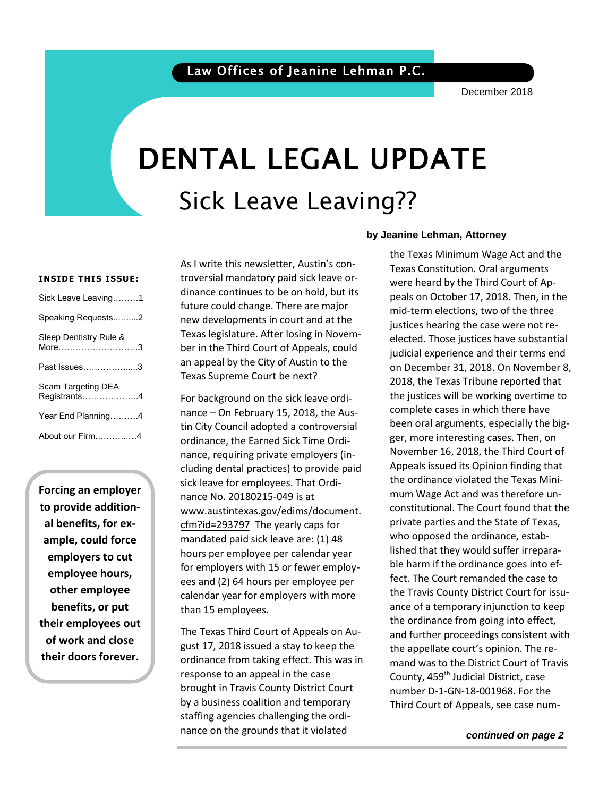# DENTAL LEGAL UPDATE Sick Leave Leaving??

#### **INSIDE THIS ISSUE:**

| Sick Leave Leaving1                |
|------------------------------------|
| Speaking Requests2                 |
| Sleep Dentistry Rule &<br>More3    |
| Past Issues………………3                 |
| Scam Targeting DEA<br>Registrants4 |
| Year End Planning4                 |
| About our Firm4                    |

**Forcing an employer to provide additional benefits, for example, could force employers to cut employee hours, other employee benefits, or put their employees out of work and close their doors forever.**

As I write this newsletter, Austin's controversial mandatory paid sick leave ordinance continues to be on hold, but its future could change. There are major new developments in court and at the Texas legislature. After losing in November in the Third Court of Appeals, could an appeal by the City of Austin to the Texas Supreme Court be next?

For background on the sick leave ordinance – On February 15, 2018, the Austin City Council adopted a controversial ordinance, the Earned Sick Time Ordinance, requiring private employers (including dental practices) to provide paid sick leave for employees. That Ordinance No. 20180215-049 is at [www.austintexas.gov/edims/document.](http://www.austintexas.gov/edims/document.cfm?id=293797) [cfm?id=293797](http://www.austintexas.gov/edims/document.cfm?id=293797) The yearly caps for mandated paid sick leave are: (1) 48 hours per employee per calendar year for employers with 15 or fewer employees and (2) 64 hours per employee per calendar year for employers with more than 15 employees.

The Texas Third Court of Appeals on August 17, 2018 issued a stay to keep the ordinance from taking effect. This was in response to an appeal in the case brought in Travis County District Court by a business coalition and temporary staffing agencies challenging the ordinance on the grounds that it violated

### **by Jeanine Lehman, Attorney**

 the Texas Minimum Wage Act and the Texas Constitution. Oral arguments were heard by the Third Court of Appeals on October 17, 2018. Then, in the mid-term elections, two of the three justices hearing the case were not reelected. Those justices have substantial judicial experience and their terms end on December 31, 2018. On November 8, 2018, the Texas Tribune reported that the justices will be working overtime to complete cases in which there have been oral arguments, especially the bigger, more interesting cases. Then, on November 16, 2018, the Third Court of Appeals issued its Opinion finding that the ordinance violated the Texas Minimum Wage Act and was therefore unconstitutional. The Court found that the private parties and the State of Texas, who opposed the ordinance, established that they would suffer irreparable harm if the ordinance goes into effect. The Court remanded the case to the Travis County District Court for issuance of a temporary injunction to keep the ordinance from going into effect, and further proceedings consistent with the appellate court's opinion. The remand was to the District Court of Travis County, 459<sup>th</sup> Judicial District, case number D-1-GN-18-001968. For the Third Court of Appeals, see case num-

*continued on page 2*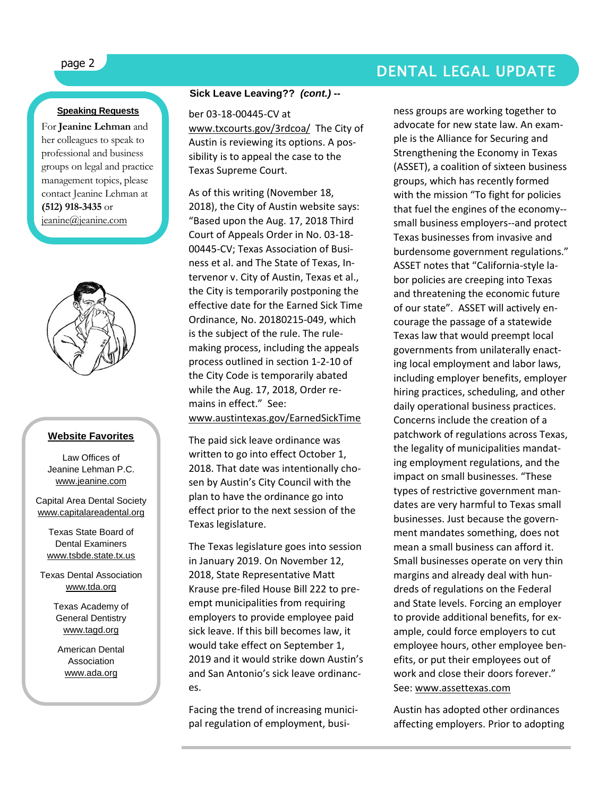## page 2 DENTAL LEGAL UPDATE

### **Speaking Requests**

For **Jeanine Lehman** and her colleagues to speak to professional and business groups on legal and practice management topics, please contact Jeanine Lehman at **(512) 918-3435** or [jeanine@jeanine.com](mailto:jeanine@jeanine.com)



ì

### **Website Favorites**

Law Offices of Jeanine Lehman P.C. [www.jeanine.com](http://www.jeanine.com/)

Capital Area Dental Society [www.capitalareadental.org](http://www.capitalareadental.org/)

Texas State Board of Dental Examiners [www.tsbde.state.tx.us](http://www.tsbde.state.tx.us/)

Texas Dental Association [www.tda.org](http://www.tda.org/)

> Texas Academy of General Dentistry [www.tagd.org](http://www.tagd.org/)

American Dental Association [www.ada.org](http://www.ada.org/)

#### **Sick Leave Leaving??** *(cont.) --*

ber 03-18-00445-CV at

[www.txcourts.gov/3rdcoa/](http://www.txcourts.gov/3rdcoa/) The City of Austin is reviewing its options. A possibility is to appeal the case to the Texas Supreme Court.

As of this writing (November 18, 2018), the City of Austin website says: "Based upon the Aug. 17, 2018 Third Court of Appeals Order in No. 03-18- 00445-CV; Texas Association of Business et al. and The State of Texas, Intervenor v. City of Austin, Texas et al., the City is temporarily postponing the effective date for the Earned Sick Time Ordinance, No. 20180215-049, which is the subject of the rule. The rulemaking process, including the appeals process outlined in section 1-2-10 of the City Code is temporarily abated while the Aug. 17, 2018, Order remains in effect." See: [www.austintexas.gov/EarnedSickTime](http://www.austintexas.gov/EarnedSickTime)

The paid sick leave ordinance was written to go into effect October 1, 2018. That date was intentionally chosen by Austin's City Council with the plan to have the ordinance go into effect prior to the next session of the Texas legislature.

The Texas legislature goes into session in January 2019. On November 12, 2018, State Representative Matt Krause pre-filed House Bill 222 to preempt municipalities from requiring employers to provide employee paid sick leave. If this bill becomes law, it would take effect on September 1, 2019 and it would strike down Austin's and San Antonio's sick leave ordinances.

Facing the trend of increasing municipal regulation of employment, busi-

ness groups are working together to advocate for new state law. An example is the Alliance for Securing and Strengthening the Economy in Texas (ASSET), a coalition of sixteen business groups, which has recently formed with the mission "To fight for policies that fuel the engines of the economy- small business employers--and protect Texas businesses from invasive and burdensome government regulations." ASSET notes that "California-style labor policies are creeping into Texas and threatening the economic future of our state". ASSET will actively encourage the passage of a statewide Texas law that would preempt local governments from unilaterally enacting local employment and labor laws, including employer benefits, employer hiring practices, scheduling, and other daily operational business practices. Concerns include the creation of a patchwork of regulations across Texas, the legality of municipalities mandating employment regulations, and the impact on small businesses. "These types of restrictive government mandates are very harmful to Texas small businesses. Just because the government mandates something, does not mean a small business can afford it. Small businesses operate on very thin margins and already deal with hundreds of regulations on the Federal and State levels. Forcing an employer to provide additional benefits, for example, could force employers to cut employee hours, other employee benefits, or put their employees out of work and close their doors forever." See: [www.assettexas.com](http://www.assettexas.com/)

Austin has adopted other ordinances affecting employers. Prior to adopting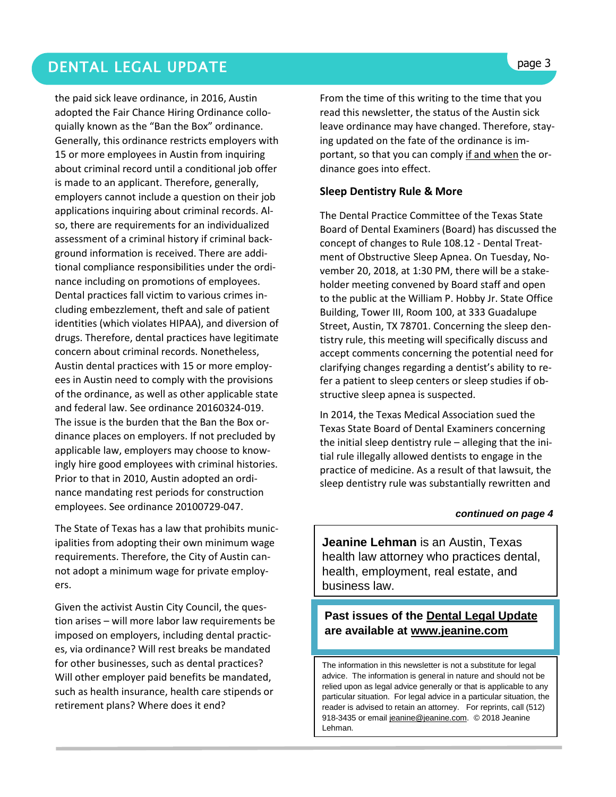### DENTAL LEGAL UPDATE **page 3**

the paid sick leave ordinance, in 2016, Austin adopted the Fair Chance Hiring Ordinance colloquially known as the "Ban the Box" ordinance. Generally, this ordinance restricts employers with 15 or more employees in Austin from inquiring about criminal record until a conditional job offer is made to an applicant. Therefore, generally, employers cannot include a question on their job applications inquiring about criminal records. Also, there are requirements for an individualized assessment of a criminal history if criminal background information is received. There are additional compliance responsibilities under the ordinance including on promotions of employees. Dental practices fall victim to various crimes including embezzlement, theft and sale of patient identities (which violates HIPAA), and diversion of drugs. Therefore, dental practices have legitimate concern about criminal records. Nonetheless, Austin dental practices with 15 or more employees in Austin need to comply with the provisions of the ordinance, as well as other applicable state and federal law. See ordinance 20160324-019. The issue is the burden that the Ban the Box ordinance places on employers. If not precluded by applicable law, employers may choose to knowingly hire good employees with criminal histories. Prior to that in 2010, Austin adopted an ordinance mandating rest periods for construction employees. See ordinance 20100729-047.

The State of Texas has a law that prohibits municipalities from adopting their own minimum wage requirements. Therefore, the City of Austin cannot adopt a minimum wage for private employers.

Given the activist Austin City Council, the question arises – will more labor law requirements be imposed on employers, including dental practices, via ordinance? Will rest breaks be mandated for other businesses, such as dental practices? Will other employer paid benefits be mandated, such as health insurance, health care stipends or retirement plans? Where does it end?

From the time of this writing to the time that you read this newsletter, the status of the Austin sick leave ordinance may have changed. Therefore, staying updated on the fate of the ordinance is important, so that you can comply if and when the ordinance goes into effect.

### **Sleep Dentistry Rule & More**

The Dental Practice Committee of the Texas State Board of Dental Examiners (Board) has discussed the concept of changes to Rule 108.12 - Dental Treatment of Obstructive Sleep Apnea. On Tuesday, November 20, 2018, at 1:30 PM, there will be a stakeholder meeting convened by Board staff and open to the public at the William P. Hobby Jr. State Office Building, Tower III, Room 100, at 333 Guadalupe Street, Austin, TX 78701. Concerning the sleep dentistry rule, this meeting will specifically discuss and accept comments concerning the potential need for clarifying changes regarding a dentist's ability to refer a patient to sleep centers or sleep studies if obstructive sleep apnea is suspected.

In 2014, the Texas Medical Association sued the Texas State Board of Dental Examiners concerning the initial sleep dentistry rule – alleging that the initial rule illegally allowed dentists to engage in the practice of medicine. As a result of that lawsuit, the sleep dentistry rule was substantially rewritten and

#### *continued on page 4*

**Jeanine Lehman** is an Austin, Texas health law attorney who practices dental, health, employment, real estate, and business law.

### **Past issues of the Dental Legal Update are available at [www.jeanine.com](http://www.jeanine.com/)**

The information in this newsletter is not a substitute for legal advice. The information is general in nature and should not be relied upon as legal advice generally or that is applicable to any particular situation. For legal advice in a particular situation, the reader is advised to retain an attorney. For reprints, call (512) 918-3435 or email [jeanine@jeanine.com.](mailto:jeanine@jeanine.com) © 2018 Jeanine Lehman.